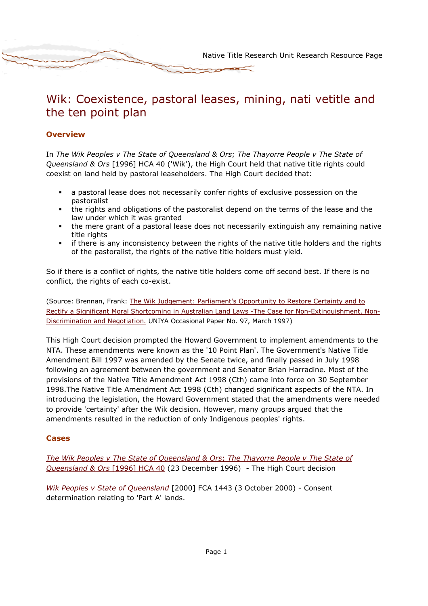# Wik: Coexistence, pastoral leases, mining, nati vetitle and the ten point plan

## **Overview**

In The Wik Peoples v The State of Queensland & Ors; The Thayorre People v The State of Queensland & Ors [1996] HCA 40 ('Wik'), the High Court held that native title rights could coexist on land held by pastoral leaseholders. The High Court decided that:

- a pastoral lease does not necessarily confer rights of exclusive possession on the pastoralist
- the rights and obligations of the pastoralist depend on the terms of the lease and the law under which it was granted
- the mere grant of a pastoral lease does not necessarily extinguish any remaining native title rights
- if there is any inconsistency between the rights of the native title holders and the rights of the pastoralist, the rights of the native title holders must yield.

So if there is a conflict of rights, the native title holders come off second best. If there is no conflict, the rights of each co-exist.

(Source: Brennan, Frank: The Wik Judgement: Parliament's Opportunity to Restore Certainty and to Rectify a Significant Moral Shortcoming in Australian Land Laws -The Case for Non-Extinguishment, Non-Discrimination and Negotiation. UNIYA Occasional Paper No. 97, March 1997)

This High Court decision prompted the Howard Government to implement amendments to the NTA. These amendments were known as the '10 Point Plan'. The Government's Native Title Amendment Bill 1997 was amended by the Senate twice, and finally passed in July 1998 following an agreement between the government and Senator Brian Harradine. Most of the provisions of the Native Title Amendment Act 1998 (Cth) came into force on 30 September 1998.The Native Title Amendment Act 1998 (Cth) changed significant aspects of the NTA. In introducing the legislation, the Howard Government stated that the amendments were needed to provide 'certainty' after the Wik decision. However, many groups argued that the amendments resulted in the reduction of only Indigenous peoples' rights.

## Cases

The Wik Peoples v The State of Queensland & Ors; The Thayorre People v The State of Queensland & Ors [1996] HCA 40 (23 December 1996) - The High Court decision

Wik Peoples v State of Queensland [2000] FCA 1443 (3 October 2000) - Consent determination relating to 'Part A' lands.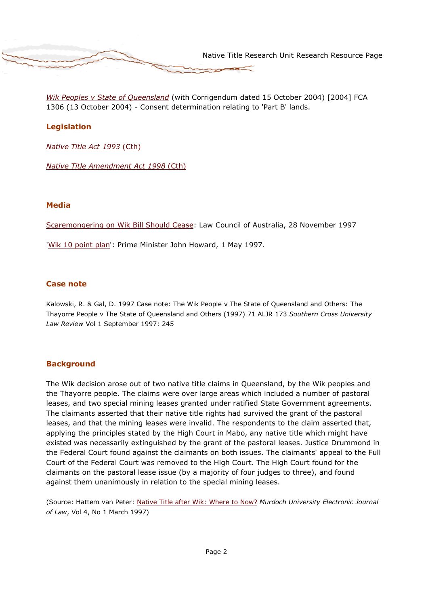

Wik Peoples v State of Queensland (with Corrigendum dated 15 October 2004) [2004] FCA 1306 (13 October 2004) - Consent determination relating to 'Part B' lands.

# Legislation

Native Title Act 1993 (Cth)

Native Title Amendment Act 1998 (Cth)

#### Media

Scaremongering on Wik Bill Should Cease: Law Council of Australia, 28 November 1997

'Wik 10 point plan': Prime Minister John Howard, 1 May 1997.

#### Case note

Kalowski, R. & Gal, D. 1997 Case note: The Wik People v The State of Queensland and Others: The Thayorre People v The State of Queensland and Others (1997) 71 ALJR 173 Southern Cross University Law Review Vol 1 September 1997: 245

## **Background**

The Wik decision arose out of two native title claims in Queensland, by the Wik peoples and the Thayorre people. The claims were over large areas which included a number of pastoral leases, and two special mining leases granted under ratified State Government agreements. The claimants asserted that their native title rights had survived the grant of the pastoral leases, and that the mining leases were invalid. The respondents to the claim asserted that, applying the principles stated by the High Court in Mabo, any native title which might have existed was necessarily extinguished by the grant of the pastoral leases. Justice Drummond in the Federal Court found against the claimants on both issues. The claimants' appeal to the Full Court of the Federal Court was removed to the High Court. The High Court found for the claimants on the pastoral lease issue (by a majority of four judges to three), and found against them unanimously in relation to the special mining leases.

(Source: Hattem van Peter: Native Title after Wik: Where to Now? Murdoch University Electronic Journal of Law, Vol 4, No 1 March 1997)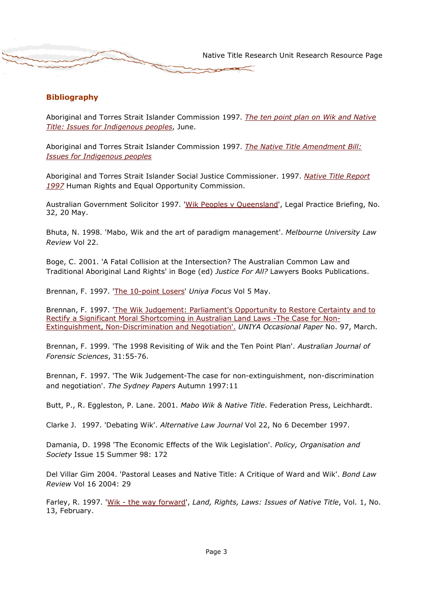## Bibliography

Aboriginal and Torres Strait Islander Commission 1997. The ten point plan on Wik and Native Title: Issues for Indigenous peoples, June.

Aboriginal and Torres Strait Islander Commission 1997. The Native Title Amendment Bill: Issues for Indigenous peoples

Aboriginal and Torres Strait Islander Social Justice Commissioner. 1997. Native Title Report 1997 Human Rights and Equal Opportunity Commission.

Australian Government Solicitor 1997. 'Wik Peoples v Queensland', Legal Practice Briefing, No. 32, 20 May.

Bhuta, N. 1998. 'Mabo, Wik and the art of paradigm management'. Melbourne University Law Review Vol 22.

Boge, C. 2001. 'A Fatal Collision at the Intersection? The Australian Common Law and Traditional Aboriginal Land Rights' in Boge (ed) Justice For All? Lawyers Books Publications.

Brennan, F. 1997. 'The 10-point Losers' Uniya Focus Vol 5 May.

Brennan, F. 1997. 'The Wik Judgement: Parliament's Opportunity to Restore Certainty and to Rectify a Significant Moral Shortcoming in Australian Land Laws -The Case for Non-Extinguishment, Non-Discrimination and Negotiation'. UNIYA Occasional Paper No. 97, March.

Brennan, F. 1999. 'The 1998 Revisiting of Wik and the Ten Point Plan'. Australian Journal of Forensic Sciences, 31:55-76.

Brennan, F. 1997. 'The Wik Judgement-The case for non-extinguishment, non-discrimination and negotiation'. The Sydney Papers Autumn 1997:11

Butt, P., R. Eggleston, P. Lane. 2001. Mabo Wik & Native Title. Federation Press, Leichhardt.

Clarke J. 1997. 'Debating Wik'. Alternative Law Journal Vol 22, No 6 December 1997.

Damania, D. 1998 'The Economic Effects of the Wik Legislation'. Policy, Organisation and Society Issue 15 Summer 98: 172

Del Villar Gim 2004. 'Pastoral Leases and Native Title: A Critique of Ward and Wik'. Bond Law Review Vol 16 2004: 29

Farley, R. 1997. 'Wik - the way forward', Land, Rights, Laws: Issues of Native Title, Vol. 1, No. 13, February.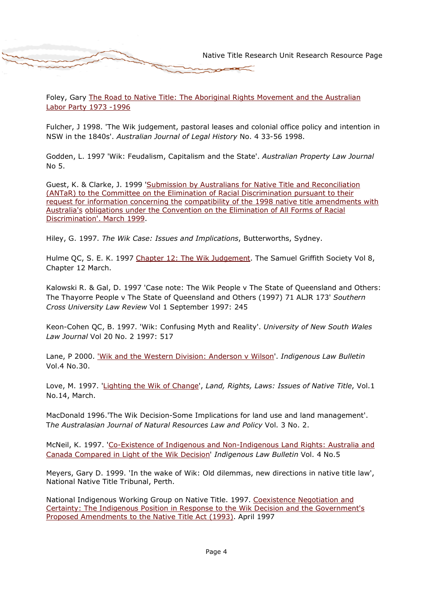Foley, Gary The Road to Native Title: The Aboriginal Rights Movement and the Australian Labor Party 1973 -1996

Fulcher, J 1998. 'The Wik judgement, pastoral leases and colonial office policy and intention in NSW in the 1840s'. Australian Journal of Legal History No. 4 33-56 1998.

Godden, L. 1997 'Wik: Feudalism, Capitalism and the State'. Australian Property Law Journal No 5.

Guest, K. & Clarke, J. 1999 'Submission by Australians for Native Title and Reconciliation (ANTaR) to the Committee on the Elimination of Racial Discrimination pursuant to their request for information concerning the compatibility of the 1998 native title amendments with Australia's obligations under the Convention on the Elimination of All Forms of Racial Discrimination'. March 1999.

Hiley, G. 1997. The Wik Case: Issues and Implications, Butterworths, Sydney.

Hulme QC, S. E. K. 1997 Chapter 12: The Wik Judgement. The Samuel Griffith Society Vol 8, Chapter 12 March.

Kalowski R. & Gal, D. 1997 'Case note: The Wik People v The State of Queensland and Others: The Thayorre People v The State of Queensland and Others (1997) 71 ALJR 173' Southern Cross University Law Review Vol 1 September 1997: 245

Keon-Cohen QC, B. 1997. 'Wik: Confusing Myth and Reality'. University of New South Wales Law Journal Vol 20 No. 2 1997: 517

Lane, P 2000. 'Wik and the Western Division: Anderson v Wilson'. Indigenous Law Bulletin Vol.4 No.30.

Love, M. 1997. 'Lighting the Wik of Change', Land, Rights, Laws: Issues of Native Title, Vol.1 No.14, March.

MacDonald 1996.'The Wik Decision-Some Implications for land use and land management'. The Australasian Journal of Natural Resources Law and Policy Vol. 3 No. 2.

McNeil, K. 1997. 'Co-Existence of Indigenous and Non-Indigenous Land Rights: Australia and Canada Compared in Light of the Wik Decision' Indigenous Law Bulletin Vol. 4 No.5

Meyers, Gary D. 1999. 'In the wake of Wik: Old dilemmas, new directions in native title law', National Native Title Tribunal, Perth.

National Indigenous Working Group on Native Title. 1997. Coexistence Negotiation and Certainty: The Indigenous Position in Response to the Wik Decision and the Government's Proposed Amendments to the Native Title Act (1993). April 1997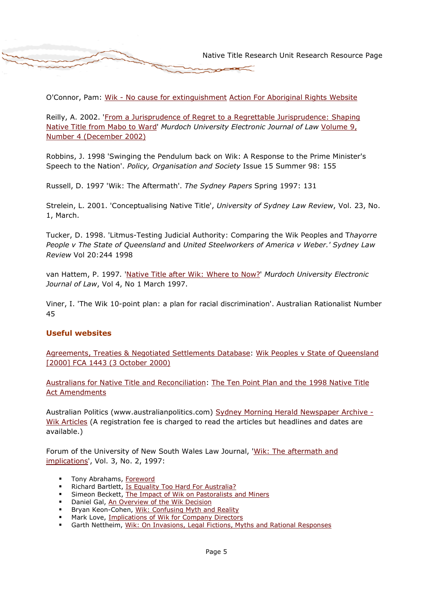O'Connor, Pam: Wik - No cause for extinguishment Action For Aboriginal Rights Website

Reilly, A. 2002. 'From a Jurisprudence of Regret to a Regrettable Jurisprudence: Shaping Native Title from Mabo to Ward' Murdoch University Electronic Journal of Law Volume 9, Number 4 (December 2002)

Robbins, J. 1998 'Swinging the Pendulum back on Wik: A Response to the Prime Minister's Speech to the Nation'. Policy, Organisation and Society Issue 15 Summer 98: 155

Russell, D. 1997 'Wik: The Aftermath'. The Sydney Papers Spring 1997: 131

Strelein, L. 2001. 'Conceptualising Native Title', University of Sydney Law Review, Vol. 23, No. 1, March.

Tucker, D. 1998. 'Litmus-Testing Judicial Authority: Comparing the Wik Peoples and Thayorre People v The State of Queensland and United Steelworkers of America v Weber.' Sydney Law Review Vol 20:244 1998

van Hattem, P. 1997. 'Native Title after Wik: Where to Now?' Murdoch University Electronic Journal of Law, Vol 4, No 1 March 1997.

Viner, I. 'The Wik 10-point plan: a plan for racial discrimination'. Australian Rationalist Number 45

#### Useful websites

Agreements, Treaties & Negotiated Settlements Database: Wik Peoples v State of Queensland [2000] FCA 1443 (3 October 2000)

Australians for Native Title and Reconciliation: The Ten Point Plan and the 1998 Native Title Act Amendments

Australian Politics (www.australianpolitics.com) Sydney Morning Herald Newspaper Archive -Wik Articles (A registration fee is charged to read the articles but headlines and dates are available.)

Forum of the University of New South Wales Law Journal, 'Wik: The aftermath and implications', Vol. 3, No. 2, 1997:

- Tony Abrahams, Foreword
- Richard Bartlett, Is Equality Too Hard For Australia?
- Simeon Beckett, The Impact of Wik on Pastoralists and Miners
- Daniel Gal, An Overview of the Wik Decision
- Bryan Keon-Cohen, Wik: Confusing Myth and Reality
- Mark Love, Implications of Wik for Company Directors
- Garth Nettheim, Wik: On Invasions, Legal Fictions, Myths and Rational Responses